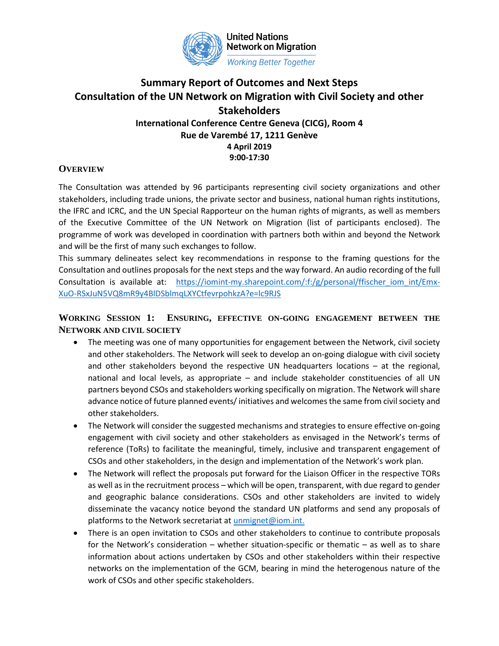

**United Nations Network on Migration Working Better Together** 

# **Summary Report of Outcomes and Next Steps Consultation of the UN Network on Migration with Civil Society and other Stakeholders International Conference Centre Geneva (CICG), Room 4**

**Rue de Varembé 17, 1211 Genève**

**4 April 2019 9:00-17:30**

# **OVERVIEW**

The Consultation was attended by 96 participants representing civil society organizations and other stakeholders, including trade unions, the private sector and business, national human rights institutions, the IFRC and ICRC, and the UN Special Rapporteur on the human rights of migrants, as well as members of the Executive Committee of the UN Network on Migration (list of participants enclosed). The programme of work was developed in coordination with partners both within and beyond the Network and will be the first of many such exchanges to follow.

This summary delineates select key recommendations in response to the framing questions for the Consultation and outlines proposals for the next steps and the way forward. An audio recording of the full Consultation is available at: [https://iomint-my.sharepoint.com/:f:/g/personal/ffischer\\_iom\\_int/Emx-](https://iomint-my.sharepoint.com/:f:/g/personal/ffischer_iom_int/Emx-XuO-RSxJuN5VQ8mR9y4BlDSblmqLXYCtfevrpohkzA?e=lc9RJS)[XuO-RSxJuN5VQ8mR9y4BlDSblmqLXYCtfevrpohkzA?e=lc9RJS](https://iomint-my.sharepoint.com/:f:/g/personal/ffischer_iom_int/Emx-XuO-RSxJuN5VQ8mR9y4BlDSblmqLXYCtfevrpohkzA?e=lc9RJS)

# **WORKING SESSION 1: ENSURING, EFFECTIVE ON-GOING ENGAGEMENT BETWEEN THE NETWORK AND CIVIL SOCIETY**

- The meeting was one of many opportunities for engagement between the Network, civil society and other stakeholders. The Network will seek to develop an on-going dialogue with civil society and other stakeholders beyond the respective UN headquarters locations – at the regional, national and local levels, as appropriate – and include stakeholder constituencies of all UN partners beyond CSOs and stakeholders working specifically on migration. The Network will share advance notice of future planned events/ initiatives and welcomes the same from civil society and other stakeholders.
- The Network will consider the suggested mechanisms and strategies to ensure effective on-going engagement with civil society and other stakeholders as envisaged in the Network's terms of reference (ToRs) to facilitate the meaningful, timely, inclusive and transparent engagement of CSOs and other stakeholders, in the design and implementation of the Network's work plan.
- The Network will reflect the proposals put forward for the Liaison Officer in the respective TORs as well as in the recruitment process – which will be open, transparent, with due regard to gender and geographic balance considerations. CSOs and other stakeholders are invited to widely disseminate the vacancy notice beyond the standard UN platforms and send any proposals of platforms to the Network secretariat at [unmignet@iom.int.](mailto:unmignet@iom.int)
- There is an open invitation to CSOs and other stakeholders to continue to contribute proposals for the Network's consideration – whether situation-specific or thematic – as well as to share information about actions undertaken by CSOs and other stakeholders within their respective networks on the implementation of the GCM, bearing in mind the heterogenous nature of the work of CSOs and other specific stakeholders.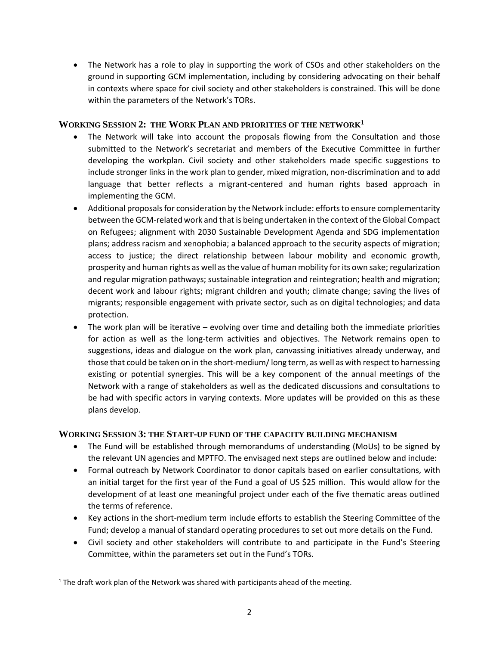• The Network has a role to play in supporting the work of CSOs and other stakeholders on the ground in supporting GCM implementation, including by considering advocating on their behalf in contexts where space for civil society and other stakeholders is constrained. This will be done within the parameters of the Network's TORs.

### **WORKING SESSION 2: THE WORK PLAN AND PRIORITIES OF THE NETWORK<sup>1</sup>**

- The Network will take into account the proposals flowing from the Consultation and those submitted to the Network's secretariat and members of the Executive Committee in further developing the workplan. Civil society and other stakeholders made specific suggestions to include stronger links in the work plan to gender, mixed migration, non-discrimination and to add language that better reflects a migrant-centered and human rights based approach in implementing the GCM.
- Additional proposals for consideration by the Network include: efforts to ensure complementarity between the GCM-related work and that is being undertaken in the context of the Global Compact on Refugees; alignment with 2030 Sustainable Development Agenda and SDG implementation plans; address racism and xenophobia; a balanced approach to the security aspects of migration; access to justice; the direct relationship between labour mobility and economic growth, prosperity and human rights as well as the value of human mobility for its own sake; regularization and regular migration pathways; sustainable integration and reintegration; health and migration; decent work and labour rights; migrant children and youth; climate change; saving the lives of migrants; responsible engagement with private sector, such as on digital technologies; and data protection.
- The work plan will be iterative evolving over time and detailing both the immediate priorities for action as well as the long-term activities and objectives. The Network remains open to suggestions, ideas and dialogue on the work plan, canvassing initiatives already underway, and those that could be taken on in the short-medium/ long term, as well as with respect to harnessing existing or potential synergies. This will be a key component of the annual meetings of the Network with a range of stakeholders as well as the dedicated discussions and consultations to be had with specific actors in varying contexts. More updates will be provided on this as these plans develop.

#### **WORKING SESSION 3: THE START-UP FUND OF THE CAPACITY BUILDING MECHANISM**

- The Fund will be established through memorandums of understanding (MoUs) to be signed by the relevant UN agencies and MPTFO. The envisaged next steps are outlined below and include:
- Formal outreach by Network Coordinator to donor capitals based on earlier consultations, with an initial target for the first year of the Fund a goal of US \$25 million. This would allow for the development of at least one meaningful project under each of the five thematic areas outlined the terms of reference.
- Key actions in the short-medium term include efforts to establish the Steering Committee of the Fund; develop a manual of standard operating procedures to set out more details on the Fund.
- Civil society and other stakeholders will contribute to and participate in the Fund's Steering Committee, within the parameters set out in the Fund's TORs.

 $\overline{\phantom{a}}$ 

 $1$  The draft work plan of the Network was shared with participants ahead of the meeting.